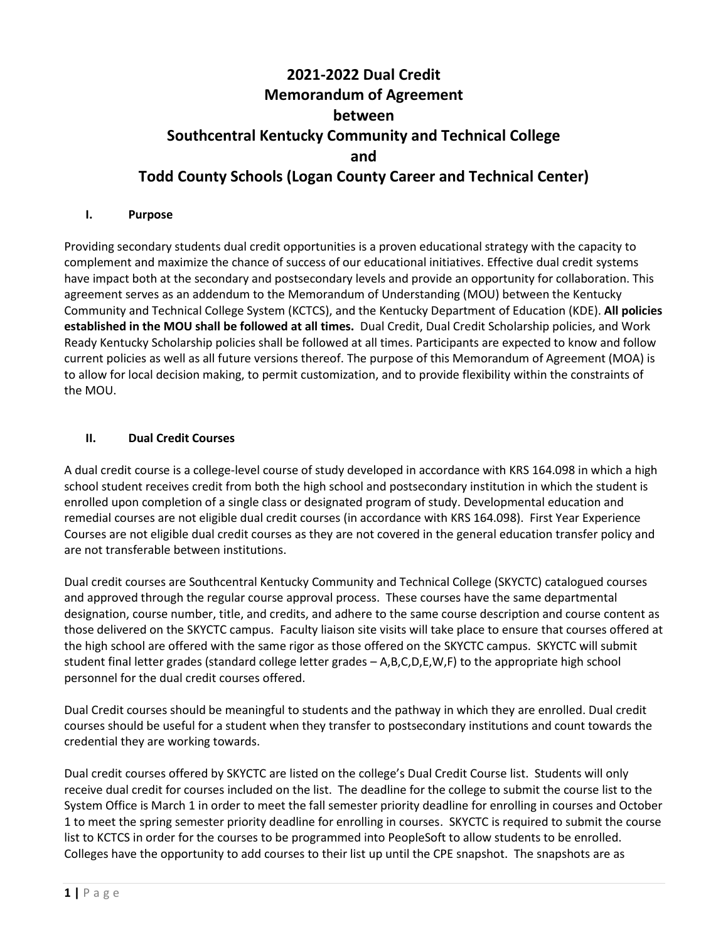# **2021-2022 Dual Credit Memorandum of Agreement between Southcentral Kentucky Community and Technical College and Todd County Schools (Logan County Career and Technical Center)**

#### **I. Purpose**

Providing secondary students dual credit opportunities is a proven educational strategy with the capacity to complement and maximize the chance of success of our educational initiatives. Effective dual credit systems have impact both at the secondary and postsecondary levels and provide an opportunity for collaboration. This agreement serves as an addendum to the Memorandum of Understanding (MOU) between the Kentucky Community and Technical College System (KCTCS), and the Kentucky Department of Education (KDE). **All policies established in the MOU shall be followed at all times.** Dual Credit, Dual Credit Scholarship policies, and Work Ready Kentucky Scholarship policies shall be followed at all times. Participants are expected to know and follow current policies as well as all future versions thereof. The purpose of this Memorandum of Agreement (MOA) is to allow for local decision making, to permit customization, and to provide flexibility within the constraints of the MOU.

## **II. Dual Credit Courses**

A dual credit course is a college-level course of study developed in accordance with KRS 164.098 in which a high school student receives credit from both the high school and postsecondary institution in which the student is enrolled upon completion of a single class or designated program of study. Developmental education and remedial courses are not eligible dual credit courses (in accordance with KRS 164.098). First Year Experience Courses are not eligible dual credit courses as they are not covered in the general education transfer policy and are not transferable between institutions.

Dual credit courses are Southcentral Kentucky Community and Technical College (SKYCTC) catalogued courses and approved through the regular course approval process. These courses have the same departmental designation, course number, title, and credits, and adhere to the same course description and course content as those delivered on the SKYCTC campus. Faculty liaison site visits will take place to ensure that courses offered at the high school are offered with the same rigor as those offered on the SKYCTC campus. SKYCTC will submit student final letter grades (standard college letter grades – A,B,C,D,E,W,F) to the appropriate high school personnel for the dual credit courses offered.

Dual Credit courses should be meaningful to students and the pathway in which they are enrolled. Dual credit courses should be useful for a student when they transfer to postsecondary institutions and count towards the credential they are working towards.

Dual credit courses offered by SKYCTC are listed on the college's Dual Credit Course list. Students will only receive dual credit for courses included on the list. The deadline for the college to submit the course list to the System Office is March 1 in order to meet the fall semester priority deadline for enrolling in courses and October 1 to meet the spring semester priority deadline for enrolling in courses. SKYCTC is required to submit the course list to KCTCS in order for the courses to be programmed into PeopleSoft to allow students to be enrolled. Colleges have the opportunity to add courses to their list up until the CPE snapshot. The snapshots are as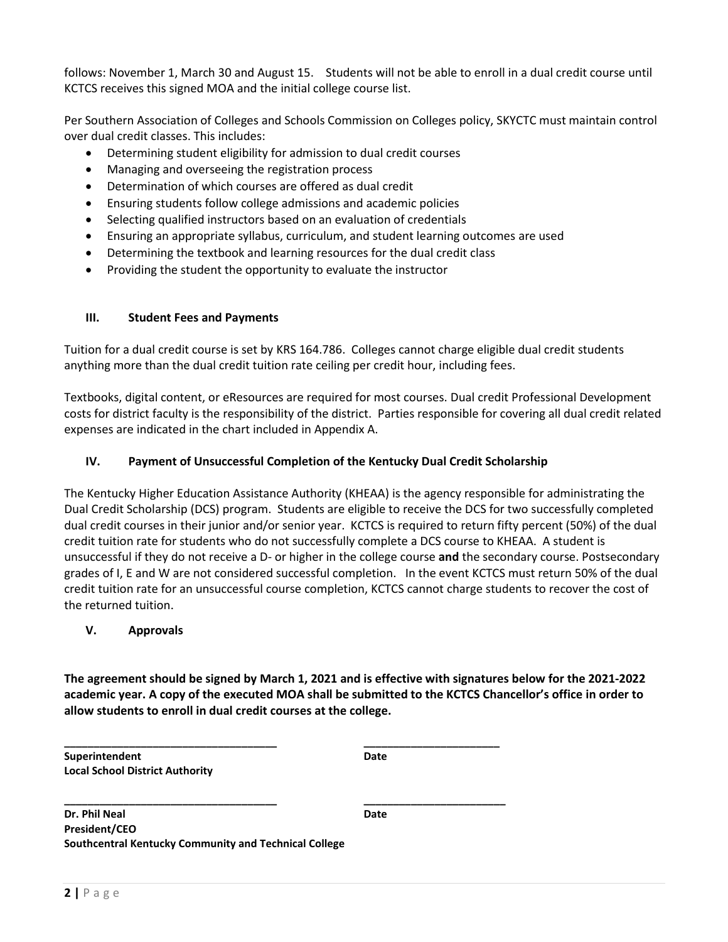follows: November 1, March 30 and August 15. Students will not be able to enroll in a dual credit course until KCTCS receives this signed MOA and the initial college course list.

Per Southern Association of Colleges and Schools Commission on Colleges policy, SKYCTC must maintain control over dual credit classes. This includes:

- Determining student eligibility for admission to dual credit courses
- Managing and overseeing the registration process
- Determination of which courses are offered as dual credit
- Ensuring students follow college admissions and academic policies
- Selecting qualified instructors based on an evaluation of credentials
- Ensuring an appropriate syllabus, curriculum, and student learning outcomes are used
- Determining the textbook and learning resources for the dual credit class
- Providing the student the opportunity to evaluate the instructor

#### **III. Student Fees and Payments**

Tuition for a dual credit course is set by KRS 164.786. Colleges cannot charge eligible dual credit students anything more than the dual credit tuition rate ceiling per credit hour, including fees.

Textbooks, digital content, or eResources are required for most courses. Dual credit Professional Development costs for district faculty is the responsibility of the district. Parties responsible for covering all dual credit related expenses are indicated in the chart included in Appendix A.

## **IV. Payment of Unsuccessful Completion of the Kentucky Dual Credit Scholarship**

The Kentucky Higher Education Assistance Authority (KHEAA) is the agency responsible for administrating the Dual Credit Scholarship (DCS) program. Students are eligible to receive the DCS for two successfully completed dual credit courses in their junior and/or senior year. KCTCS is required to return fifty percent (50%) of the dual credit tuition rate for students who do not successfully complete a DCS course to KHEAA. A student is unsuccessful if they do not receive a D- or higher in the college course **and** the secondary course. Postsecondary grades of I, E and W are not considered successful completion. In the event KCTCS must return 50% of the dual credit tuition rate for an unsuccessful course completion, KCTCS cannot charge students to recover the cost of the returned tuition.

#### **V. Approvals**

**The agreement should be signed by March 1, 2021 and is effective with signatures below for the 2021-2022 academic year. A copy of the executed MOA shall be submitted to the KCTCS Chancellor's office in order to allow students to enroll in dual credit courses at the college.** 

**\_\_\_\_\_\_\_\_\_\_\_\_\_\_\_\_\_\_\_\_\_\_\_\_\_\_\_\_\_\_\_\_\_\_\_\_ \_\_\_\_\_\_\_\_\_\_\_\_\_\_\_\_\_\_\_\_\_\_\_ Superintendent Date Local School District Authority**

**\_\_\_\_\_\_\_\_\_\_\_\_\_\_\_\_\_\_\_\_\_\_\_\_\_\_\_\_\_\_\_\_\_\_\_\_ \_\_\_\_\_\_\_\_\_\_\_\_\_\_\_\_\_\_\_\_\_\_\_\_ Dr. Phil Neal Date President/CEO Southcentral Kentucky Community and Technical College**